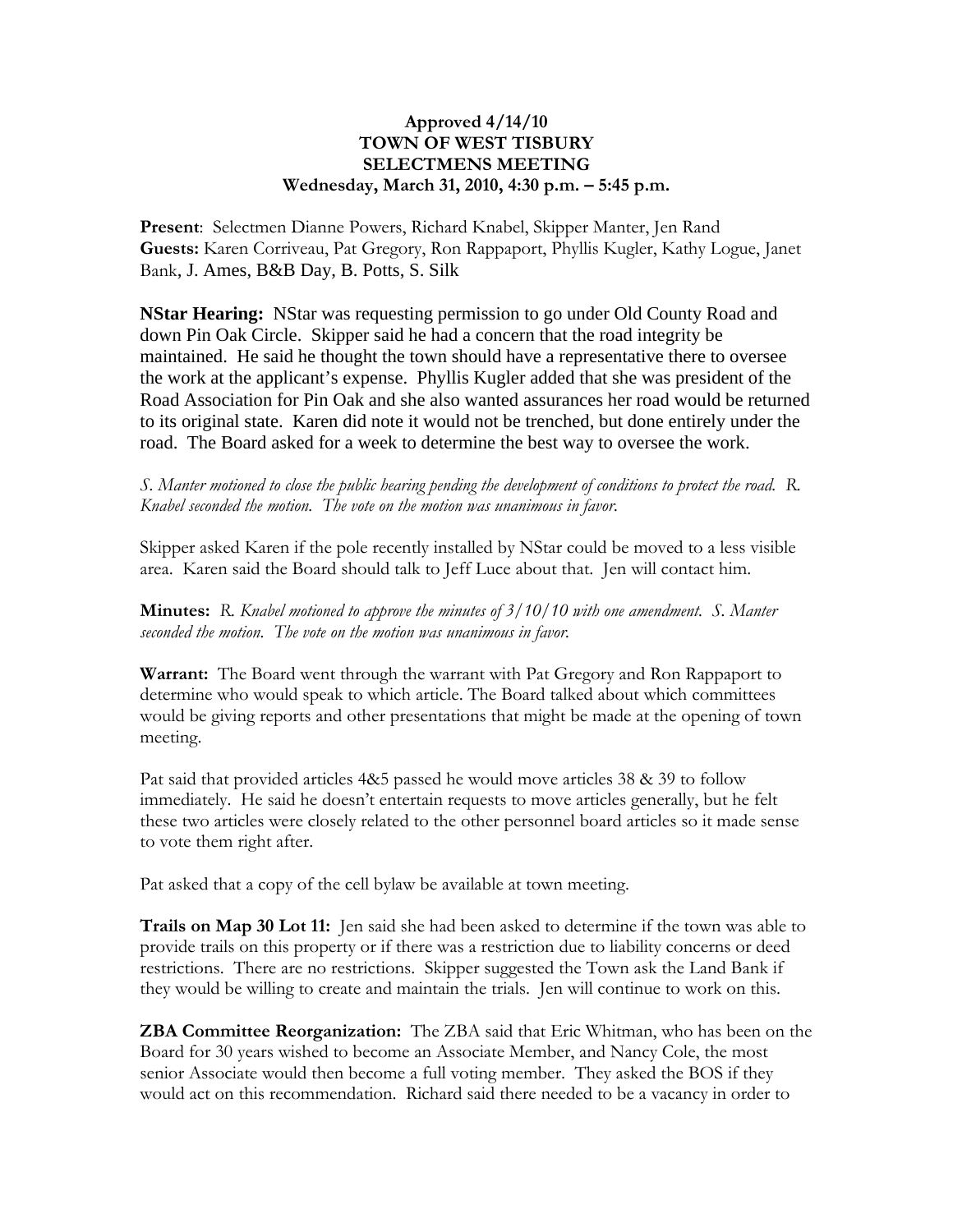## **Approved 4/14/10 TOWN OF WEST TISBURY SELECTMENS MEETING Wednesday, March 31, 2010, 4:30 p.m. – 5:45 p.m.**

**Present**: Selectmen Dianne Powers, Richard Knabel, Skipper Manter, Jen Rand **Guests:** Karen Corriveau, Pat Gregory, Ron Rappaport, Phyllis Kugler, Kathy Logue, Janet Bank, J. Ames, B&B Day, B. Potts, S. Silk

**NStar Hearing:** NStar was requesting permission to go under Old County Road and down Pin Oak Circle. Skipper said he had a concern that the road integrity be maintained. He said he thought the town should have a representative there to oversee the work at the applicant's expense. Phyllis Kugler added that she was president of the Road Association for Pin Oak and she also wanted assurances her road would be returned to its original state. Karen did note it would not be trenched, but done entirely under the road. The Board asked for a week to determine the best way to oversee the work.

*S. Manter motioned to close the public hearing pending the development of conditions to protect the road. R. Knabel seconded the motion. The vote on the motion was unanimous in favor.*

Skipper asked Karen if the pole recently installed by NStar could be moved to a less visible area. Karen said the Board should talk to Jeff Luce about that. Jen will contact him.

**Minutes:** *R. Knabel motioned to approve the minutes of 3/10/10 with one amendment. S. Manter seconded the motion. The vote on the motion was unanimous in favor.*

**Warrant:** The Board went through the warrant with Pat Gregory and Ron Rappaport to determine who would speak to which article. The Board talked about which committees would be giving reports and other presentations that might be made at the opening of town meeting.

Pat said that provided articles 4&5 passed he would move articles 38 & 39 to follow immediately. He said he doesn't entertain requests to move articles generally, but he felt these two articles were closely related to the other personnel board articles so it made sense to vote them right after.

Pat asked that a copy of the cell bylaw be available at town meeting.

**Trails on Map 30 Lot 11:** Jen said she had been asked to determine if the town was able to provide trails on this property or if there was a restriction due to liability concerns or deed restrictions. There are no restrictions. Skipper suggested the Town ask the Land Bank if they would be willing to create and maintain the trials. Jen will continue to work on this.

**ZBA Committee Reorganization:** The ZBA said that Eric Whitman, who has been on the Board for 30 years wished to become an Associate Member, and Nancy Cole, the most senior Associate would then become a full voting member. They asked the BOS if they would act on this recommendation. Richard said there needed to be a vacancy in order to